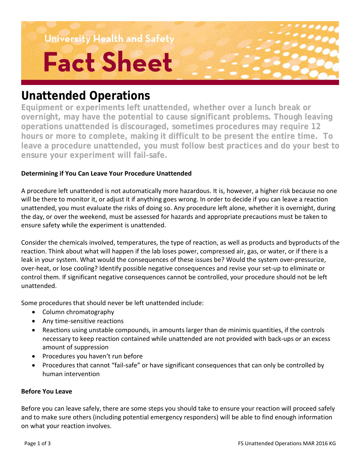University Health and Safety **Fact Sheet** 

# **Unattended Operations**

**Equipment or experiments left unattended, whether over a lunch break or overnight, may have the potential to cause significant problems. Though leaving operations unattended is discouraged, sometimes procedures may require 12 hours or more to complete, making it difficult to be present the entire time. To leave a procedure unattended, you must follow best practices and do your best to ensure your experiment will fail-safe.**

# **Determining if You Can Leave Your Procedure Unattended**

A procedure left unattended is not automatically more hazardous. It is, however, a higher risk because no one will be there to monitor it, or adjust it if anything goes wrong. In order to decide if you can leave a reaction unattended, you must evaluate the risks of doing so. Any procedure left alone, whether it is overnight, during the day, or over the weekend, must be assessed for hazards and appropriate precautions must be taken to ensure safety while the experiment is unattended.

Consider the chemicals involved, temperatures, the type of reaction, as well as products and byproducts of the reaction. Think about what will happen if the lab loses power, compressed air, gas, or water, or if there is a leak in your system. What would the consequences of these issues be? Would the system over-pressurize, over-heat, or lose cooling? Identify possible negative consequences and revise your set-up to eliminate or control them. If significant negative consequences cannot be controlled, your procedure should not be left unattended.

Some procedures that should never be left unattended include:

- Column chromatography
- Any time-sensitive reactions
- Reactions using unstable compounds, in amounts larger than de minimis quantities, if the controls necessary to keep reaction contained while unattended are not provided with back-ups or an excess amount of suppression
- Procedures you haven't run before
- Procedures that cannot "fail-safe" or have significant consequences that can only be controlled by human intervention

## **Before You Leave**

Before you can leave safely, there are some steps you should take to ensure your reaction will proceed safely and to make sure others (including potential emergency responders) will be able to find enough information on what your reaction involves.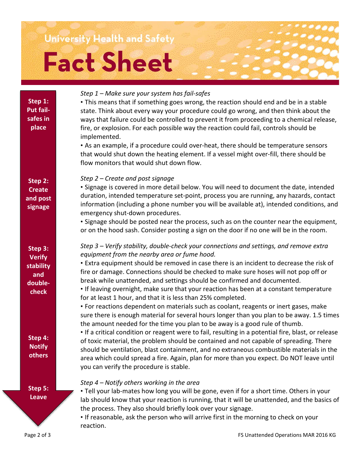# University Health and Safety **Fact Sheet**

| Step 1:<br>Put fail-<br>safes in<br>place                        | Step 1 - Make sure your system has fail-safes<br>• This means that if something goes wrong, the reaction should end and be in a stable<br>state. Think about every way your procedure could go wrong, and then think about the<br>ways that failure could be controlled to prevent it from proceeding to a chemical release,<br>fire, or explosion. For each possible way the reaction could fail, controls should be<br>implemented.<br>• As an example, if a procedure could over-heat, there should be temperature sensors<br>that would shut down the heating element. If a vessel might over-fill, there should be<br>flow monitors that would shut down flow. |
|------------------------------------------------------------------|---------------------------------------------------------------------------------------------------------------------------------------------------------------------------------------------------------------------------------------------------------------------------------------------------------------------------------------------------------------------------------------------------------------------------------------------------------------------------------------------------------------------------------------------------------------------------------------------------------------------------------------------------------------------|
| Step 2:<br><b>Create</b><br>and post<br>signage                  | Step 2 – Create and post signage<br>• Signage is covered in more detail below. You will need to document the date, intended<br>duration, intended temperature set-point, process you are running, any hazards, contact<br>information (including a phone number you will be available at), intended conditions, and<br>emergency shut-down procedures.<br>• Signage should be posted near the process, such as on the counter near the equipment,<br>or on the hood sash. Consider posting a sign on the door if no one will be in the room.                                                                                                                        |
| Step 3:<br><b>Verify</b><br>stability<br>and<br>double-<br>check | Step 3 – Verify stability, double-check your connections and settings, and remove extra<br>equipment from the nearby area or fume hood.<br>• Extra equipment should be removed in case there is an incident to decrease the risk of<br>fire or damage. Connections should be checked to make sure hoses will not pop off or<br>break while unattended, and settings should be confirmed and documented.<br>. If leaving overnight, make sure that your reaction has been at a constant temperature<br>for at least 1 hour, and that it is less than 25% completed.<br>• For reactions dependent on materials such as coolant, reagents or inert gases, make         |
| Step 4:<br><b>Notify</b><br>others                               | sure there is enough material for several hours longer than you plan to be away. 1.5 times<br>the amount needed for the time you plan to be away is a good rule of thumb.<br>• If a critical condition or reagent were to fail, resulting in a potential fire, blast, or release<br>of toxic material, the problem should be contained and not capable of spreading. There<br>should be ventilation, blast containment, and no extraneous combustible materials in the<br>area which could spread a fire. Again, plan for more than you expect. Do NOT leave until<br>you can verify the procedure is stable.                                                       |
| Step 5:<br><b>Leave</b>                                          | Step 4 - Notify others working in the area<br>. Tell your lab-mates how long you will be gone, even if for a short time. Others in your<br>lab should know that your reaction is running, that it will be unattended, and the basics of<br>the process. They also should briefly look over your signage.<br>• If reasonable, ask the person who will arrive first in the morning to check on your<br>reaction.                                                                                                                                                                                                                                                      |